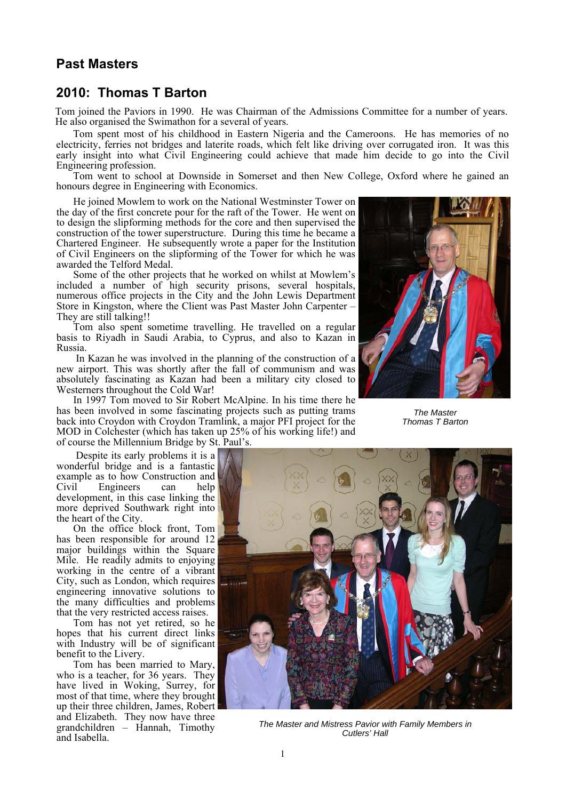## **Past Masters**

## **2010: Thomas T Barton**

Tom joined the Paviors in 1990. He was Chairman of the Admissions Committee for a number of years. He also organised the Swimathon for a several of years.

Tom spent most of his childhood in Eastern Nigeria and the Cameroons. He has memories of no electricity, ferries not bridges and laterite roads, which felt like driving over corrugated iron. It was this early insight into what Civil Engineering could achieve that made him decide to go into the Civil Engineering profession.

Tom went to school at Downside in Somerset and then New College, Oxford where he gained an honours degree in Engineering with Economics.

He joined Mowlem to work on the National Westminster Tower on the day of the first concrete pour for the raft of the Tower. He went on to design the slipforming methods for the core and then supervised the construction of the tower superstructure. During this time he became a Chartered Engineer. He subsequently wrote a paper for the Institution of Civil Engineers on the slipforming of the Tower for which he was awarded the Telford Medal.

Some of the other projects that he worked on whilst at Mowlem's included a number of high security prisons, several hospitals, numerous office projects in the City and the John Lewis Department Store in Kingston, where the Client was Past Master John Carpenter – They are still talking!!

Tom also spent sometime travelling. He travelled on a regular basis to Riyadh in Saudi Arabia, to Cyprus, and also to Kazan in Russia.

 In Kazan he was involved in the planning of the construction of a new airport. This was shortly after the fall of communism and was absolutely fascinating as Kazan had been a military city closed to Westerners throughout the Cold War!

In 1997 Tom moved to Sir Robert McAlpine. In his time there he has been involved in some fascinating projects such as putting trams back into Croydon with Croydon Tramlink, a major PFI project for the MOD in Colchester (which has taken up 25% of his working life!) and of course the Millennium Bridge by St. Paul's.



*The Master Thomas T Barton* 

 Despite its early problems it is a wonderful bridge and is a fantastic example as to how Construction and<br>Civil Engineers can help Engineers can help development, in this case linking the more deprived Southwark right into the heart of the City.

On the office block front, Tom has been responsible for around 12 major buildings within the Square Mile. He readily admits to enjoying working in the centre of a vibrant City, such as London, which requires engineering innovative solutions to the many difficulties and problems that the very restricted access raises.

Tom has not yet retired, so he hopes that his current direct links with Industry will be of significant benefit to the Livery.

Tom has been married to Mary, who is a teacher, for 36 years. They have lived in Woking, Surrey, for most of that time, where they brought up their three children, James, Robert and Elizabeth. They now have three grandchildren – Hannah, Timothy and Isabella.



*The Master and Mistress Pavior with Family Members in Cutlers' Hall*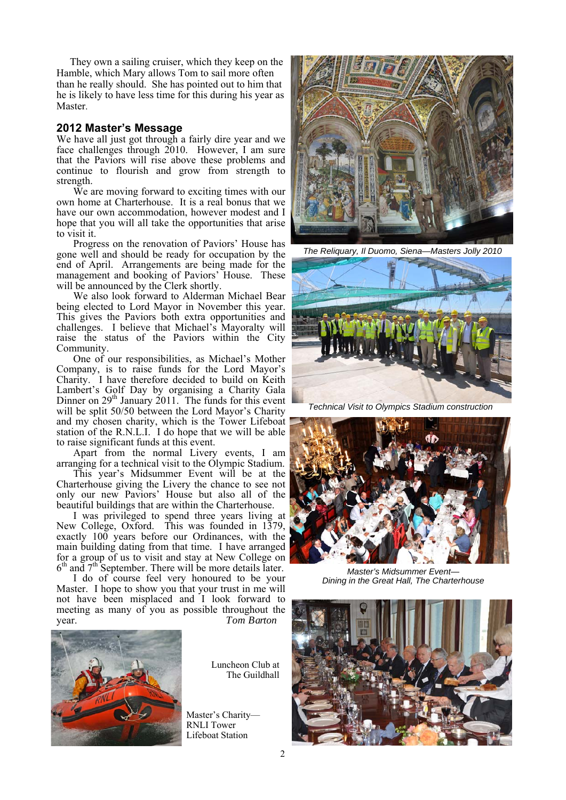They own a sailing cruiser, which they keep on the Hamble, which Mary allows Tom to sail more often than he really should. She has pointed out to him that he is likely to have less time for this during his year as Master.

## **2012 Master's Message**

We have all just got through a fairly dire year and we face challenges through 2010. However, I am sure that the Paviors will rise above these problems and continue to flourish and grow from strength to strength.

We are moving forward to exciting times with our own home at Charterhouse. It is a real bonus that we have our own accommodation, however modest and I hope that you will all take the opportunities that arise to visit it.

Progress on the renovation of Paviors' House has gone well and should be ready for occupation by the end of April. Arrangements are being made for the management and booking of Paviors' House. These will be announced by the Clerk shortly.

We also look forward to Alderman Michael Bear being elected to Lord Mayor in November this year. This gives the Paviors both extra opportunities and challenges. I believe that Michael's Mayoralty will raise the status of the Paviors within the City Community.

One of our responsibilities, as Michael's Mother Company, is to raise funds for the Lord Mayor's Charity. I have therefore decided to build on Keith Lambert's Golf Day by organising a Charity Gala Dinner on  $29<sup>th</sup>$  January  $2011$ . The funds for this event will be split 50/50 between the Lord Mayor's Charity and my chosen charity, which is the Tower Lifeboat station of the R.N.L.I. I do hope that we will be able to raise significant funds at this event.

Apart from the normal Livery events, I am arranging for a technical visit to the Olympic Stadium.

This year's Midsummer Event will be at the Charterhouse giving the Livery the chance to see not only our new Paviors' House but also all of the beautiful buildings that are within the Charterhouse.

I was privileged to spend three years living at New College, Oxford. This was founded in 1379, exactly 100 years before our Ordinances, with the main building dating from that time. I have arranged for a group of us to visit and stay at New College on  $6<sup>th</sup>$  and  $7<sup>th</sup>$  September. There will be more details later.

I do of course feel very honoured to be your Master. I hope to show you that your trust in me will not have been misplaced and I look forward to meeting as many of you as possible throughout the year. *Tom Barton* 



Luncheon Club at The Guildhall

Master's Charity— RNLI Tower Lifeboat Station



*The Reliquary, Il Duomo, Siena—Masters Jolly 2010* 



*Technical Visit to Olympics Stadium construction* 



*Master's Midsummer Event— Dining in the Great Hall, The Charterhouse*